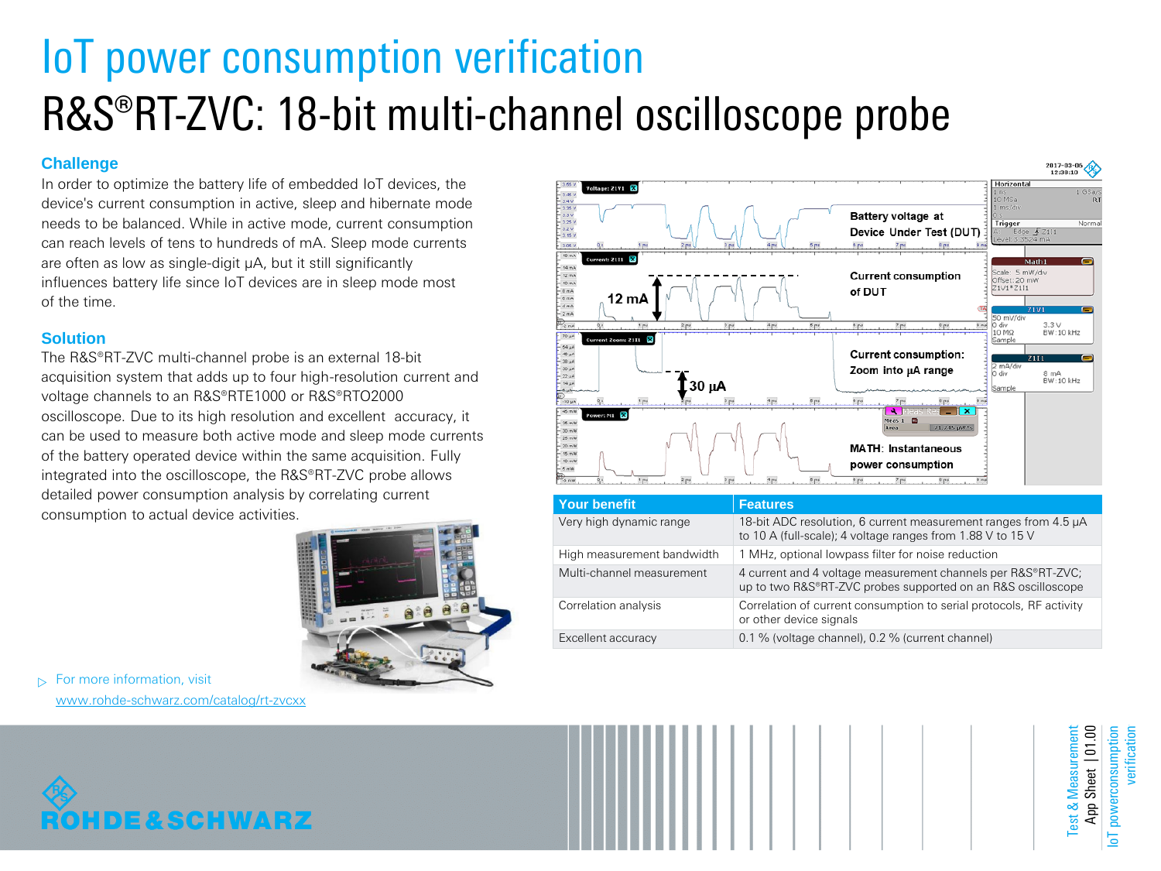# IoT power consumption verification R&S®RT-ZVC: 18-bit multi-channel oscilloscope probe

## **Challenge**

In order to optimize the battery life of embedded IoT devices, the device's current consumption in active, sleep and hibernate mode needs to be balanced. While in active mode, current consumption can reach levels of tens to hundreds of mA. Sleep mode currents are often as low as single-digit μA, but it still significantly influences battery life since IoT devices are in sleep mode most of the time.

## **Solution**

The R&S®RT-ZVC multi-channel probe is an external 18-bit acquisition system that adds up to four high-resolution current and voltage channels to an R&S®RTE1000 or R&S®RTO2000 oscilloscope. Due to its high resolution and excellent accuracy, it can be used to measure both active mode and sleep mode currents of the battery operated device within the same acquisition. Fully integrated into the oscilloscope, the R&S®RT-ZVC probe allows detailed power consumption analysis by correlating current consumption to actual device activities.



 $\triangleright$  For more information, visit [www.rohde-schwarz.com/catalog/rt-zvcxx](http://www.rohde-schwarz.com/catalog/rt-zvcxx)



| <b>Your benefit</b>        | <b>Features</b>                                                                                                               |
|----------------------------|-------------------------------------------------------------------------------------------------------------------------------|
| Very high dynamic range    | 18-bit ADC resolution, 6 current measurement ranges from 4.5 µA<br>to 10 A (full-scale); 4 voltage ranges from 1.88 V to 15 V |
| High measurement bandwidth | 1 MHz, optional lowpass filter for noise reduction                                                                            |
| Multi-channel measurement  | 4 current and 4 voltage measurement channels per R&S®RT-ZVC;<br>up to two R&S®RT-ZVC probes supported on an R&S oscilloscope  |
| Correlation analysis       | Correlation of current consumption to serial protocols, RF activity<br>or other device signals                                |
| Excellent accuracy         | 0.1 % (voltage channel), 0.2 % (current channel)                                                                              |



Test & Measurement Sheet  $\vert$  01.00 App Sheet | 01.00 powerconsumption IoT powerconsumption verification Measuremen  $est &$ App: 능